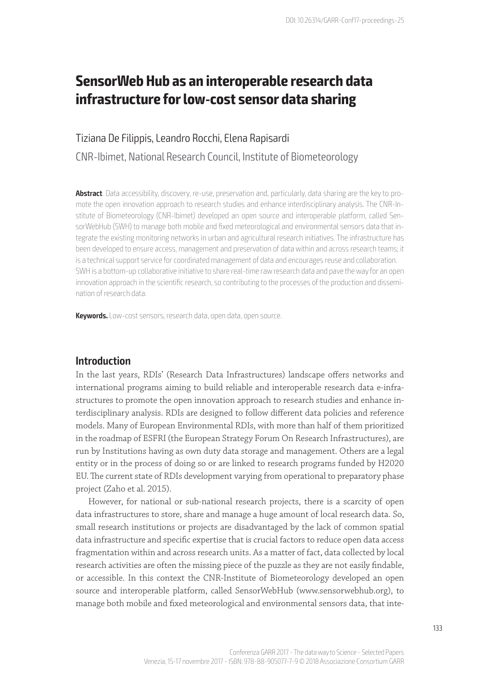# **SensorWeb Hub as an interoperable research data infrastructure for low-cost sensor data sharing**

## Tiziana De Filippis, Leandro Rocchi, Elena Rapisardi CNR-Ibimet, National Research Council, Institute of Biometeorology

**Abstract**. Data accessibility, discovery, re-use, preservation and, particularly, data sharing are the key to promote the open innovation approach to research studies and enhance interdisciplinary analysis. The CNR-Institute of Biometeorology (CNR-Ibimet) developed an open source and interoperable platform, called SensorWebHub (SWH) to manage both mobile and fixed meteorological and environmental sensors data that integrate the existing monitoring networks in urban and agricultural research initiatives. The infrastructure has been developed to ensure access, management and preservation of data within and across research teams; it is a technical support service for coordinated management of data and encourages reuse and collaboration. SWH is a bottom-up collaborative initiative to share real-time raw research data and pave the way for an open innovation approach in the scientific research, so contributing to the processes of the production and dissemination of research data.

**Keywords.** Low-cost sensors, research data, open data, open source.

## **Introduction**

In the last years, RDIs' (Research Data Infrastructures) landscape offers networks and international programs aiming to build reliable and interoperable research data e-infrastructures to promote the open innovation approach to research studies and enhance interdisciplinary analysis. RDIs are designed to follow different data policies and reference models. Many of European Environmental RDIs, with more than half of them prioritized in the roadmap of ESFRI (the European Strategy Forum On Research Infrastructures), are run by Institutions having as own duty data storage and management. Others are a legal entity or in the process of doing so or are linked to research programs funded by H2020 EU. The current state of RDIs development varying from operational to preparatory phase project (Zaho et al. 2015).

However, for national or sub-national research projects, there is a scarcity of open data infrastructures to store, share and manage a huge amount of local research data. So, small research institutions or projects are disadvantaged by the lack of common spatial data infrastructure and specific expertise that is crucial factors to reduce open data access fragmentation within and across research units. As a matter of fact, data collected by local research activities are often the missing piece of the puzzle as they are not easily findable, or accessible. In this context the CNR-Institute of Biometeorology developed an open source and interoperable platform, called SensorWebHub (www.sensorwebhub.org), to manage both mobile and fixed meteorological and environmental sensors data, that inte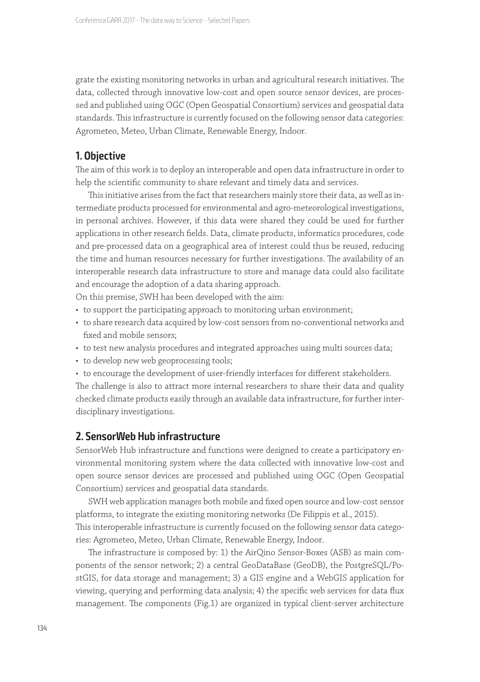grate the existing monitoring networks in urban and agricultural research initiatives. The data, collected through innovative low-cost and open source sensor devices, are processed and published using OGC (Open Geospatial Consortium) services and geospatial data standards. This infrastructure is currently focused on the following sensor data categories: Agrometeo, Meteo, Urban Climate, Renewable Energy, Indoor.

## **1. Objective**

The aim of this work is to deploy an interoperable and open data infrastructure in order to help the scientific community to share relevant and timely data and services.

This initiative arises from the fact that researchers mainly store their data, as well as intermediate products processed for environmental and agro-meteorological investigations, in personal archives. However, if this data were shared they could be used for further applications in other research fields. Data, climate products, informatics procedures, code and pre-processed data on a geographical area of interest could thus be reused, reducing the time and human resources necessary for further investigations. The availability of an interoperable research data infrastructure to store and manage data could also facilitate and encourage the adoption of a data sharing approach.

On this premise, SWH has been developed with the aim:

- to support the participating approach to monitoring urban environment;
- to share research data acquired by low-cost sensors from no-conventional networks and fixed and mobile sensors;
- to test new analysis procedures and integrated approaches using multi sources data;
- to develop new web geoprocessing tools;
- to encourage the development of user-friendly interfaces for different stakeholders.

The challenge is also to attract more internal researchers to share their data and quality checked climate products easily through an available data infrastructure, for further interdisciplinary investigations.

### **2. SensorWeb Hub infrastructure**

SensorWeb Hub infrastructure and functions were designed to create a participatory environmental monitoring system where the data collected with innovative low-cost and open source sensor devices are processed and published using OGC (Open Geospatial Consortium) services and geospatial data standards.

SWH web application manages both mobile and fixed open source and low-cost sensor platforms, to integrate the existing monitoring networks (De Filippis et al., 2015). This interoperable infrastructure is currently focused on the following sensor data categories: Agrometeo, Meteo, Urban Climate, Renewable Energy, Indoor.

The infrastructure is composed by: 1) the AirQino Sensor-Boxes (ASB) as main components of the sensor network; 2) a central GeoDataBase (GeoDB), the PostgreSQL/PostGIS, for data storage and management; 3) a GIS engine and a WebGIS application for viewing, querying and performing data analysis; 4) the specific web services for data flux management. The components (Fig.1) are organized in typical client-server architecture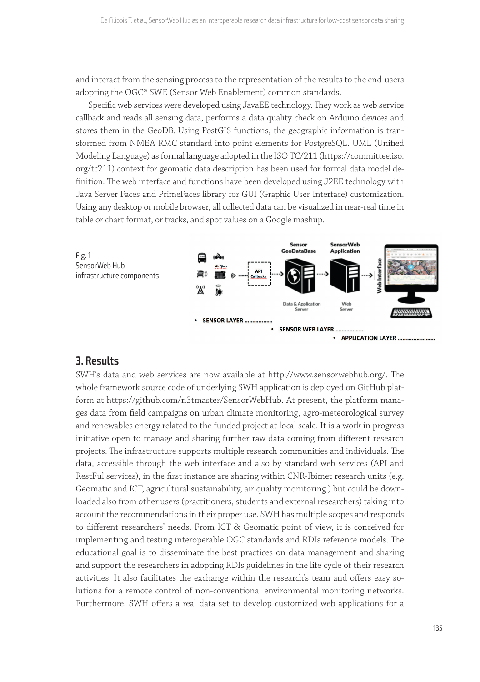and interact from the sensing process to the representation of the results to the end-users adopting the OGC® SWE (Sensor Web Enablement) common standards.

Specific web services were developed using JavaEE technology. They work as web service callback and reads all sensing data, performs a data quality check on Arduino devices and stores them in the GeoDB. Using PostGIS functions, the geographic information is transformed from NMEA RMC standard into point elements for PostgreSQL. UML (Unified Modeling Language) as formal language adopted in the ISO TC/211 (https://committee.iso. org/tc211) context for geomatic data description has been used for formal data model definition. The web interface and functions have been developed using J2EE technology with Java Server Faces and PrimeFaces library for GUI (Graphic User Interface) customization. Using any desktop or mobile browser, all collected data can be visualized in near-real time in table or chart format, or tracks, and spot values on a Google mashup.



## **3. Results**

SWH's data and web services are now available at http://www.sensorwebhub.org/. The whole framework source code of underlying SWH application is deployed on GitHub platform at https://github.com/n3tmaster/SensorWebHub. At present, the platform manages data from field campaigns on urban climate monitoring, agro-meteorological survey and renewables energy related to the funded project at local scale. It is a work in progress initiative open to manage and sharing further raw data coming from different research projects. The infrastructure supports multiple research communities and individuals. The data, accessible through the web interface and also by standard web services (API and RestFul services), in the first instance are sharing within CNR-Ibimet research units (e.g. Geomatic and ICT, agricultural sustainability, air quality monitoring.) but could be downloaded also from other users (practitioners, students and external researchers) taking into account the recommendations in their proper use. SWH has multiple scopes and responds to different researchers' needs. From ICT & Geomatic point of view, it is conceived for implementing and testing interoperable OGC standards and RDIs reference models. The educational goal is to disseminate the best practices on data management and sharing and support the researchers in adopting RDIs guidelines in the life cycle of their research activities. It also facilitates the exchange within the research's team and offers easy solutions for a remote control of non-conventional environmental monitoring networks. Furthermore, SWH offers a real data set to develop customized web applications for a